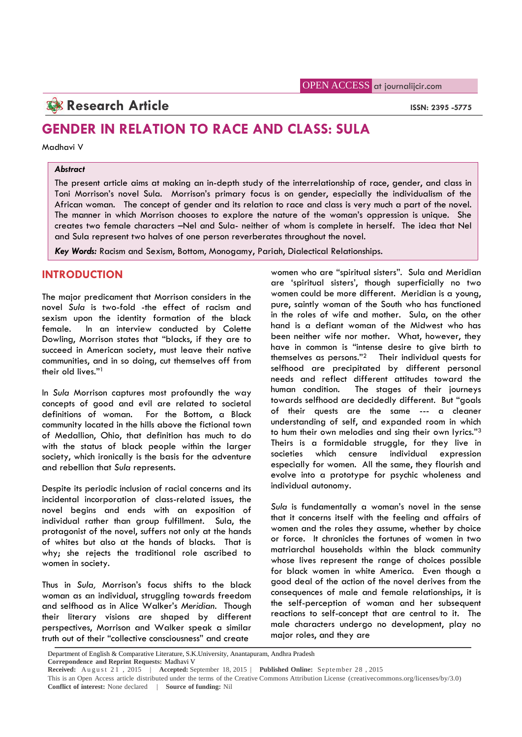## **Research Article ISSN: 2395 -5775**

# **GENDER IN RELATION TO RACE AND CLASS: SULA**

Madhavi V

#### *Abstract*

The present article aims at making an in-depth study of the interrelationship of race, gender, and class in Toni Morrison's novel Sula. Morrison's primary focus is on gender, especially the individualism of the African woman. The concept of gender and its relation to race and class is very much a part of the novel. The manner in which Morrison chooses to explore the nature of the woman's oppression is unique. She creates two female characters –Nel and Sula- neither of whom is complete in herself. The idea that Nel and Sula represent two halves of one person reverberates throughout the novel.

*Key Words:* Racism and Sexism, Bottom, Monogamy, Pariah, Dialectical Relationships.

### **INTRODUCTION**

The major predicament that Morrison considers in the novel *Sula* is two-fold -the effect of racism and sexism upon the identity formation of the black female. In an interview conducted by Colette Dowling, Morrison states that "blacks, if they are to succeed in American society, must leave their native communities, and in so doing, cut themselves off from their old lives."<sup>1</sup>

In *Sula* Morrison captures most profoundly the way concepts of good and evil are related to societal definitions of woman. For the Bottom, a Black community located in the hills above the fictional town of Medallion, Ohio, that definition has much to do with the status of black people within the larger theirs is<br>society which ironically is the basis for the adventure societies society, which ironically is the basis for the adventure and rebellion that *Sula* represents.

Despite its periodic inclusion of racial concerns and its incidental incorporation of class-related issues, the novel begins and ends with an exposition of individual rather than group fulfillment. Sula, the protagonist of the novel, suffers not only at the hands of whites but also at the hands of blacks. That is why; she rejects the traditional role ascribed to women in society.

Thus in *Sula,* Morrison's focus shifts to the black woman as an individual, struggling towards freedom and selfhood as in Alice Walker's *Meridian*. Though their literary visions are shaped by different perspectives, Morrison and Walker speak a similar truth out of their "collective consciousness" and create

women who are "spiritual sisters". Sula and Meridian are 'spiritual sisters', though superficially no two women could be more different. Meridian is a young, pure, saintly woman of the South who has functioned in the roles of wife and mother. Sula, on the other hand is a defiant woman of the Midwest who has been neither wife nor mother. What, however, they have in common is "intense desire to give birth to themselves as persons."<sup>2</sup> Their individual quests for selfhood are precipitated by different personal needs and reflect different attitudes toward the The stages of their journeys towards selfhood are decidedly different. But "goals of their quests are the same --- a cleaner understanding of self, and expanded room in which to hum their own melodies and sing their own lyrics."<sup>3</sup> Theirs is a formidable struggle, for they live in which censure individual expression especially for women. All the same, they flourish and evolve into a prototype for psychic wholeness and individual autonomy.

*Sula* is fundamentally a woman's novel in the sense that it concerns itself with the feeling and affairs of women and the roles they assume, whether by choice or force. It chronicles the fortunes of women in two matriarchal households within the black community whose lives represent the range of choices possible for black women in white America. Even though a good deal of the action of the novel derives from the consequences of male and female relationships, it is the self-perception of woman and her subsequent reactions to self-concept that are central to it. The male characters undergo no development, play no major roles, and they are

Department of English & Comparative Literature, S.K.University, Anantapuram, Andhra Pradesh **Correpondence and Reprint Requests:** Madhavi V

**Received:** August 21, 2015 | **Accepted:** September 18, 2015 | **Published Online:** September 28, 2015

This is an Open Access article distributed under the terms of the Creative Commons Attribution License (creativecommons.org/licenses/by/3.0) **Conflict of interest:** None declared | **Source of funding:** Nil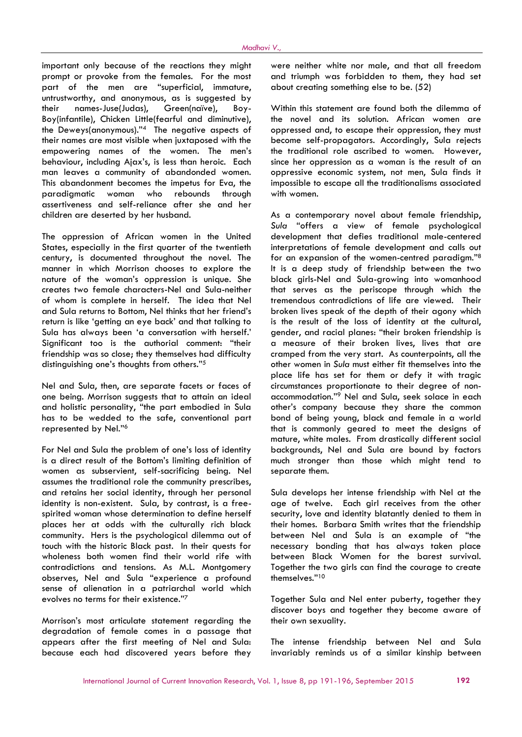important only because of the reactions they might prompt or provoke from the females. For the most part of the men are "superficial, immature, untrustworthy, and anonymous, as is suggested by their names-Juse(Judas), Green(naïve), Boy- Boy(infantile), Chicken Little(fearful and diminutive), the Deweys(anonymous)."<sup>4</sup> The negative aspects of their names are most visible when juxtaposed with the empowering names of the women. The men's behaviour, including Ajax's, is less than heroic. Each man leaves a community of abandonded women. This abandonment becomes the impetus for Eva, the paradigmatic woman who rebounds through assertiveness and self-reliance after she and her children are deserted by her husband.

The oppression of African women in the United States, especially in the first quarter of the twentieth century, is documented throughout the novel. The manner in which Morrison chooses to explore the nature of the woman's oppression is unique. She creates two female characters-Nel and Sula-neither of whom is complete in herself. The idea that Nel and Sula returns to Bottom, Nel thinks that her friend's return is like 'getting an eye back' and that talking to Sula has always been 'a conversation with herself.' Significant too is the authorial comment: "their friendship was so close; they themselves had difficulty distinguishing one's thoughts from others."<sup>5</sup>

Nel and Sula, then, are separate facets or faces of one being. Morrison suggests that to attain an ideal and holistic personality, "the part embodied in Sula has to be wedded to the safe, conventional part represented by Nel."<sup>6</sup>

For Nel and Sula the problem of one's loss of identity is a direct result of the Bottom's limiting definition of women as subservient, self-sacrificing being. Nel assumes the traditional role the community prescribes, and retains her social identity, through her personal identity is non-existent. Sula, by contrast, is a freespirited woman whose determination to define herself places her at odds with the culturally rich black community. Hers is the psychological dilemma out of touch with the historic Black past. In their quests for wholeness both women find their world rife with contradictions and tensions. As M.L. Montgomery observes, Nel and Sula "experience a profound sense of alienation in a patriarchal world which evolves no terms for their existence."<sup>7</sup>

Morrison's most articulate statement regarding the degradation of female comes in a passage that appears after the first meeting of Nel and Sula: because each had discovered years before they were neither white nor male, and that all freedom and triumph was forbidden to them, they had set about creating something else to be. (52)

Within this statement are found both the dilemma of the novel and its solution. African women are oppressed and, to escape their oppression, they must become self-propagators. Accordingly, Sula rejects the traditional role ascribed to women. However, since her oppression as a woman is the result of an oppressive economic system, not men, Sula finds it impossible to escape all the traditionalisms associated with women.

As a contemporary novel about female friendship, *Sula* "offers a view of female psychological development that defies traditional male-centered interpretations of female development and calls out for an expansion of the women-centred paradigm."<sup>8</sup> It is a deep study of friendship between the two black girls-Nel and Sula-growing into womanhood that serves as the periscope through which the tremendous contradictions of life are viewed. Their broken lives speak of the depth of their agony which is the result of the loss of identity at the cultural, gender, and racial planes: "their broken friendship is a measure of their broken lives, lives that are cramped from the very start. As counterpoints, all the other women in *Sula* must either fit themselves into the place life has set for them or defy it with tragic circumstances proportionate to their degree of non accommodation."<sup>9</sup> Nel and Sula, seek solace in each other's company because they share the common bond of being young, black and female in a world that is commonly geared to meet the designs of mature, white males. From drastically different social backgrounds, Nel and Sula are bound by factors much stronger than those which might tend to separate them.

Sula develops her intense friendship with Nel at the age of twelve. Each girl receives from the other security, love and identity blatantly denied to them in their homes. Barbara Smith writes that the friendship between Nel and Sula is an example of "the necessary bonding that has always taken place between Black Women for the barest survival. Together the two girls can find the courage to create themselves."<sup>10</sup>

Together Sula and Nel enter puberty, together they discover boys and together they become aware of their own sexuality.

The intense friendship between Nel and Sula invariably reminds us of a similar kinship between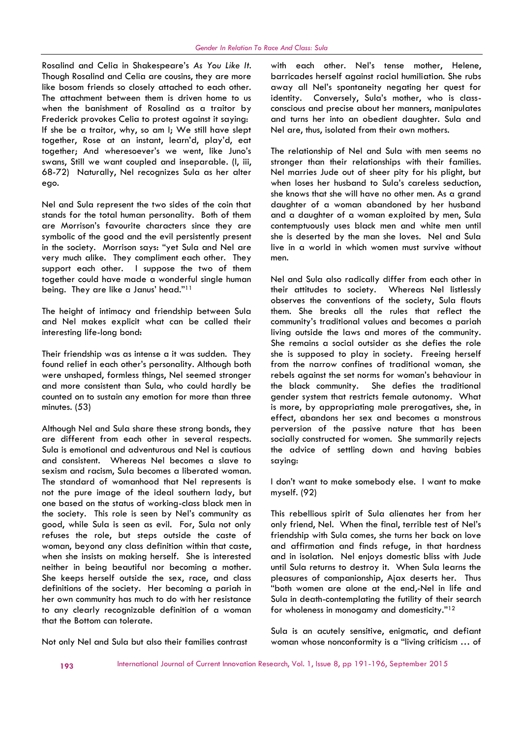Rosalind and Celia in Shakespeare's *As You Like It.* Though Rosalind and Celia are cousins, they are more like bosom friends so closely attached to each other. The attachment between them is driven home to us when the banishment of Rosalind as a traitor by Frederick provokes Celia to protest against it saying: If she be a traitor, why, so am I; We still have slept together, Rose at an instant, learn'd, play'd, eat together; And wheresoever's we went, like Juno's swans, Still we want coupled and inseparable. (I, iii, 68-72) Naturally, Nel recognizes Sula as her alter ego.

Nel and Sula represent the two sides of the coin that stands for the total human personality. Both of them are Morrison's favourite characters since they are symbolic of the good and the evil persistently present in the society. Morrison says: "yet Sula and Nel are very much alike. They compliment each other. They support each other. I suppose the two of them together could have made a wonderful single human being. They are like a Janus' head."<sup>11</sup>

The height of intimacy and friendship between Sula and Nel makes explicit what can be called their interesting life-long bond:

Their friendship was as intense a it was sudden. They found relief in each other's personality. Although both were unshaped, formless things, Nel seemed stronger and more consistent than Sula, who could hardly be counted on to sustain any emotion for more than three minutes. (53)

Although Nel and Sula share these strong bonds, they are different from each other in several respects. Sula is emotional and adventurous and Nel is cautious and consistent. Whereas Nel becomes a slave to sexism and racism, Sula becomes a liberated woman. The standard of womanhood that Nel represents is not the pure image of the ideal southern lady, but one based on the status of working-class black men in the society. This role is seen by Nel's community as good, while Sula is seen as evil. For, Sula not only refuses the role, but steps outside the caste of woman, beyond any class definition within that caste, when she insists on making herself. She is interested neither in being beautiful nor becoming a mother. She keeps herself outside the sex, race, and class definitions of the society. Her becoming a pariah in her own community has much to do with her resistance to any clearly recognizable definition of a woman that the Bottom can tolerate.

with each other. Nel's tense mother, Helene, barricades herself against racial humiliation. She rubs away all Nel's spontaneity negating her quest for identity. Conversely, Sula's mother, who is class conscious and precise about her manners, manipulates and turns her into an obedient daughter. Sula and Nel are, thus, isolated from their own mothers.

The relationship of Nel and Sula with men seems no stronger than their relationships with their families. Nel marries Jude out of sheer pity for his plight, but when loses her husband to Sula's careless seduction, she knows that she will have no other men. As a grand daughter of a woman abandoned by her husband and a daughter of a woman exploited by men, Sula contemptuously uses black men and white men until she is deserted by the man she loves. Nel and Sula live in a world in which women must survive without men.

Nel and Sula also radically differ from each other in their attitudes to society. Whereas Nel listlessly observes the conventions of the society, Sula flouts them. She breaks all the rules that reflect the community's traditional values and becomes a pariah living outside the laws and mores of the community. She remains a social outsider as she defies the role she is supposed to play in society. Freeing herself from the narrow confines of traditional woman, she rebels against the set norms for woman's behaviour in She defies the traditional gender system that restricts female autonomy. What is more, by appropriating male prerogatives, she, in effect, abandons her sex and becomes a monstrous perversion of the passive nature that has been socially constructed for women. She summarily rejects the advice of settling down and having babies saying:

I don't want to make somebody else. I want to make myself. (92)

This rebellious spirit of Sula alienates her from her only friend, Nel. When the final, terrible test of Nel's friendship with Sula comes, she turns her back on love and affirmation and finds refuge, in that hardness and in isolation. Nel enjoys domestic bliss with Jude until Sula returns to destroy it. When Sula learns the pleasures of companionship, Ajax deserts her. Thus "both women are alone at the end,-Nel in life and Sula in death-contemplating the futility of their search for wholeness in monogamy and domesticity."<sup>12</sup>

Sula is an acutely sensitive, enigmatic, and defiant woman whose nonconformity is a "living criticism … of

Not only Nel and Sula but also their families contrast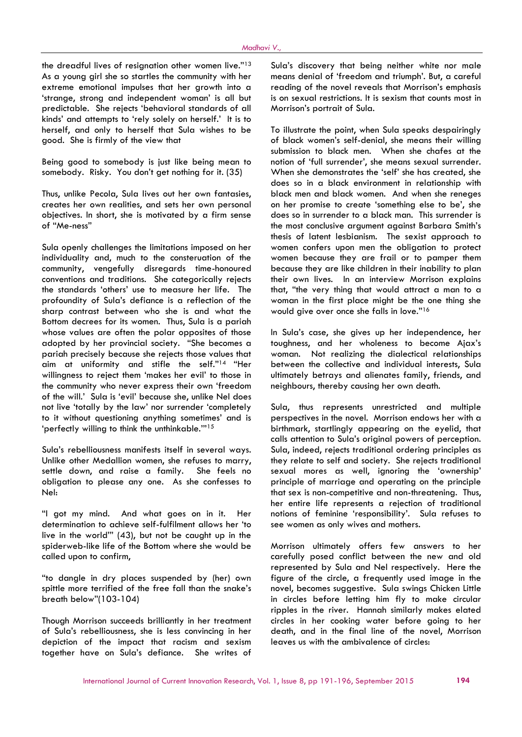the dreadful lives of resignation other women live."13 As a young girl she so startles the community with her extreme emotional impulses that her growth into a 'strange, strong and independent woman' is all but predictable. She rejects 'behavioral standards of all kinds' and attempts to 'rely solely on herself.' It is to herself, and only to herself that Sula wishes to be good. She is firmly of the view that

Being good to somebody is just like being mean to somebody. Risky. You don't get nothing for it. (35)

Thus, unlike Pecola, Sula lives out her own fantasies, creates her own realities, and sets her own personal objectives. In short, she is motivated by a firm sense of "Me-ness"

Sula openly challenges the limitations imposed on her individuality and, much to the consteruation of the community, vengefully disregards time-honoured conventions and traditions. She categorically rejects the standards 'others' use to measure her life. The profoundity of Sula's defiance is a reflection of the sharp contrast between who she is and what the Bottom decrees for its women. Thus, Sula is a pariah whose values are often the polar opposites of those adopted by her provincial society. "She becomes a pariah precisely because she rejects those values that aim at uniformity and stifle the self."<sup>14</sup> "Her willingness to reject them 'makes her evil' to those in the community who never express their own 'freedom of the will.' Sula is 'evil' because she, unlike Nel does not live 'totally by the law' nor surrender 'completely to it without questioning anything sometimes' and is 'perfectly willing to think the unthinkable.'"<sup>15</sup>

Sula's rebelliousness manifests itself in several ways. Unlike other Medallion women, she refuses to marry, settle down, and raise a family. She feels no obligation to please any one. As she confesses to Nel:

"I got my mind. And what goes on in it. Her determination to achieve self-fulfilment allows her 'to live in the world'" (43), but not be caught up in the spiderweb-like life of the Bottom where she would be called upon to confirm,

"to dangle in dry places suspended by (her) own spittle more terrified of the free fall than the snake's breath below"(103-104)

Though Morrison succeeds brilliantly in her treatment of Sula's rebelliousness, she is less convincing in her depiction of the impact that racism and sexism together have on Sula's defiance. She writes of

Sula's discovery that being neither white nor male means denial of 'freedom and triumph'. But, a careful reading of the novel reveals that Morrison's emphasis is on sexual restrictions. It is sexism that counts most in Morrison's portrait of Sula.

To illustrate the point, when Sula speaks despairingly of black women's self-denial, she means their willing submission to black men. When she chafes at the notion of 'full surrender', she means sexual surrender. When she demonstrates the 'self' she has created, she does so in a black environment in relationship with black men and black women. And when she reneges on her promise to create 'something else to be', she does so in surrender to a black man. This surrender is the most conclusive argument against Barbara Smith's thesis of latent lesbianism. The sexist approach to women confers upon men the obligation to protect women because they are frail or to pamper them because they are like children in their inability to plan their own lives. In an interview Morrison explains that, "the very thing that would attract a man to a woman in the first place might be the one thing she would give over once she falls in love."<sup>16</sup>

In Sula's case, she gives up her independence, her toughness, and her wholeness to become Ajax's woman. Not realizing the dialectical relationships between the collective and individual interests, Sula ultimately betrays and alienates family, friends, and neighbours, thereby causing her own death.

Sula, thus represents unrestricted and multiple perspectives in the novel. Morrison endows her with a birthmark, startlingly appearing on the eyelid, that calls attention to Sula's original powers of perception. Sula, indeed, rejects traditional ordering principles as they relate to self and society. She rejects traditional sexual mores as well, ignoring the 'ownership' principle of marriage and operating on the principle that sex is non-competitive and non-threatening. Thus, her entire life represents a rejection of traditional notions of feminine 'responsibility'. Sula refuses to see women as only wives and mothers.

Morrison ultimately offers few answers to her carefully posed conflict between the new and old represented by Sula and Nel respectively. Here the figure of the circle, a frequently used image in the novel, becomes suggestive. Sula swings Chicken Little in circles before letting him fly to make circular ripples in the river. Hannah similarly makes elated circles in her cooking water before going to her death, and in the final line of the novel, Morrison leaves us with the ambivalence of circles: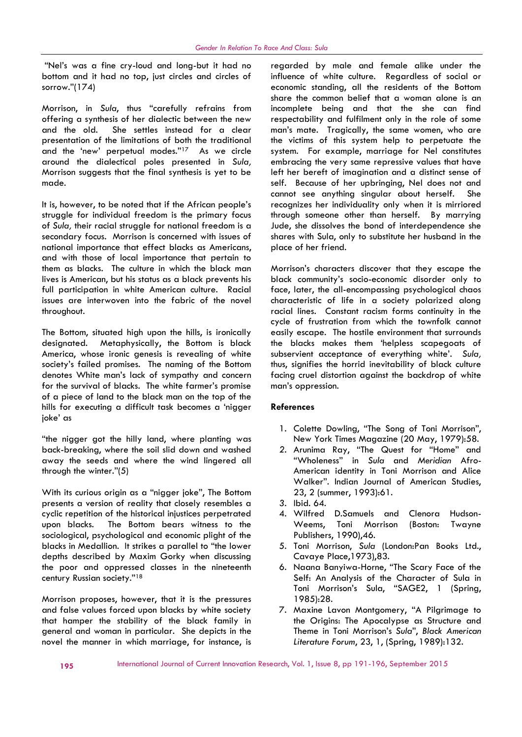"Nel's was a fine cry-loud and long-but it had no bottom and it had no top, just circles and circles of sorrow."(174)

Morrison, in *Sula*, thus "carefully refrains from offering a synthesis of her dialectic between the new and the old. She settles instead for a clear presentation of the limitations of both the traditional and the 'new' perpetual modes."<sup>17</sup> As we circle around the dialectical poles presented in *Sula,* Morrison suggests that the final synthesis is yet to be made.

It is, however, to be noted that if the African people's struggle for individual freedom is the primary focus of *Sula,* their racial struggle for national freedom is a secondary focus. Morrison is concerned with issues of national importance that effect blacks as Americans, and with those of local importance that pertain to them as blacks. The culture in which the black man lives is American, but his status as a black prevents his full participation in white American culture. Racial issues are interwoven into the fabric of the novel throughout.

The Bottom, situated high upon the hills, is ironically designated. Metaphysically, the Bottom is black America, whose ironic genesis is revealing of white society's failed promises. The naming of the Bottom denotes White man's lack of sympathy and concern for the survival of blacks. The white farmer's promise of a piece of land to the black man on the top of the hills for executing a difficult task becomes a 'nigger joke' as

"the nigger got the hilly land, where planting was back-breaking, where the soil slid down and washed away the seeds and where the wind lingered all through the winter."(5)

With its curious origin as a "nigger joke", The Bottom presents a version of reality that closely resembles a cyclic repetition of the historical injustices perpetrated upon blacks. The Bottom bears witness to the sociological, psychological and economic plight of the blacks in Medallion. It strikes a parallel to "the lower depths described by Maxim Gorky when discussing the poor and oppressed classes in the nineteenth century Russian society."<sup>18</sup>

Morrison proposes, however, that it is the pressures and false values forced upon blacks by white society that hamper the stability of the black family in general and woman in particular. She depicts in the novel the manner in which marriage, for instance, is

regarded by male and female alike under the influence of white culture. Regardless of social or economic standing, all the residents of the Bottom share the common belief that a woman alone is an incomplete being and that the she can find respectability and fulfilment only in the role of some man's mate. Tragically, the same women, who are the victims of this system help to perpetuate the system. For example, marriage for Nel constitutes embracing the very same repressive values that have left her bereft of imagination and a distinct sense of self. Because of her upbringing, Nel does not and cannot see anything singular about herself. She recognizes her individuality only when it is mirriored through someone other than herself. By marrying Jude, she dissolves the bond of interdependence she shares with Sula, only to substitute her husband in the place of her friend.

Morrison's characters discover that they escape the black community's socio-economic disorder only to face, later, the all-encompassing psychological chaos characteristic of life in a society polarized along racial lines. Constant racism forms continuity in the cycle of frustration from which the townfolk cannot easily escape. The hostile environment that surrounds the blacks makes them 'helpless scapegoats of subservient acceptance of everything white'. *Sula,* thus, signifies the horrid inevitability of black culture facing cruel distortion against the backdrop of white man's oppression.

#### **References**

- 1. Colette Dowling, "The Song of Toni Morrison", New York Times Magazine (20 May, 1979):58.
- *2.* Arunima Ray, "The Quest for "Home" and "Wholeness" in *Sula* and *Meridian* Afro- American identity in Toni Morrison and Alice Walker". Indian Journal of American Studies, 23, 2 (summer, 1993):61.
- *3.* Ibid. 64.
- 4. Wilfred D.Samuels and Clenora Hudson- Weems, Toni Morrison (Boston: Twayne Publishers, 1990),46.
- 5. Toni Morrison, *Sula* (London:Pan Books Ltd., Cavaye Place,1973),83.
- 6. Naana Banyiwa-Horne, "The Scary Face of the Self: An Analysis of the Character of Sula in Toni Morrison's Sula, "SAGE2, 1 (Spring, 1985):28.
- 7. Maxine Lavon Montgomery, "A Pilgrimage to the Origins: The Apocalypse as Structure and Theme in Toni Morrison's *Sula*", *Black American Literature Forum*, 23, 1, (Spring, 1989):132.